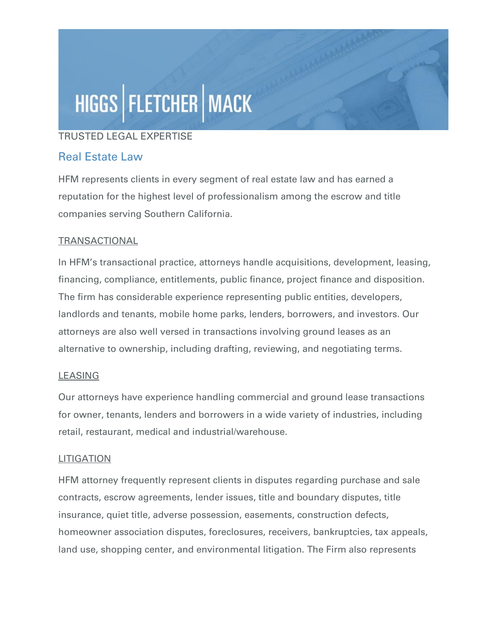# HIGGS | FLETCHER | MACK

## TRUSTED LEGAL EXPERTISE

## Real Estate Law

HFM represents clients in every segment of real estate law and has earned a reputation for the highest level of professionalism among the escrow and title companies serving Southern California.

## **TRANSACTIONAL**

In HFM's transactional practice, attorneys handle acquisitions, development, leasing, financing, compliance, entitlements, public finance, project finance and disposition. The firm has considerable experience representing public entities, developers, landlords and tenants, mobile home parks, lenders, borrowers, and investors. Our attorneys are also well versed in transactions involving ground leases as an alternative to ownership, including drafting, reviewing, and negotiating terms.

## **LEASING**

Our attorneys have experience handling commercial and ground lease transactions for owner, tenants, lenders and borrowers in a wide variety of industries, including retail, restaurant, medical and industrial/warehouse.

#### **LITIGATION**

HFM attorney frequently represent clients in disputes regarding purchase and sale contracts, escrow agreements, lender issues, title and boundary disputes, title insurance, quiet title, adverse possession, easements, construction defects, homeowner association disputes, foreclosures, receivers, bankruptcies, tax appeals, land use, shopping center, and environmental litigation. The Firm also represents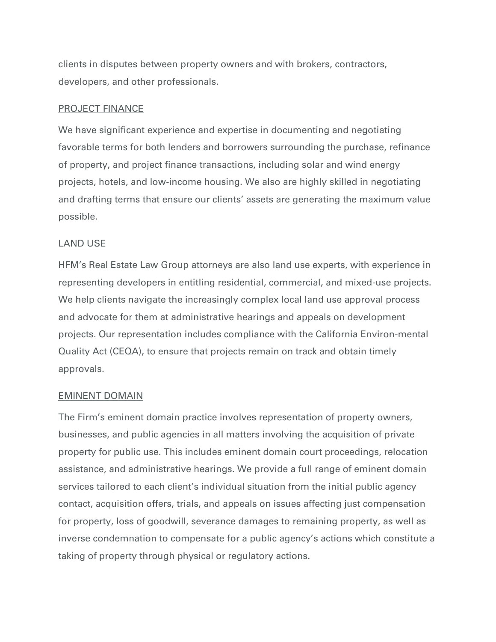clients in disputes between property owners and with brokers, contractors, developers, and other professionals.

#### PROJECT FINANCE

We have significant experience and expertise in documenting and negotiating favorable terms for both lenders and borrowers surrounding the purchase, refinance of property, and project finance transactions, including solar and wind energy projects, hotels, and low-income housing. We also are highly skilled in negotiating and drafting terms that ensure our clients' assets are generating the maximum value possible.

#### LAND USE

HFM's Real Estate Law Group attorneys are also land use experts, with experience in representing developers in entitling residential, commercial, and mixed-use projects. We help clients navigate the increasingly complex local land use approval process and advocate for them at administrative hearings and appeals on development projects. Our representation includes compliance with the California Environ-mental Quality Act (CEQA), to ensure that projects remain on track and obtain timely approvals.

#### EMINENT DOMAIN

The Firm's eminent domain practice involves representation of property owners, businesses, and public agencies in all matters involving the acquisition of private property for public use. This includes eminent domain court proceedings, relocation assistance, and administrative hearings. We provide a full range of eminent domain services tailored to each client's individual situation from the initial public agency contact, acquisition offers, trials, and appeals on issues affecting just compensation for property, loss of goodwill, severance damages to remaining property, as well as inverse condemnation to compensate for a public agency's actions which constitute a taking of property through physical or regulatory actions.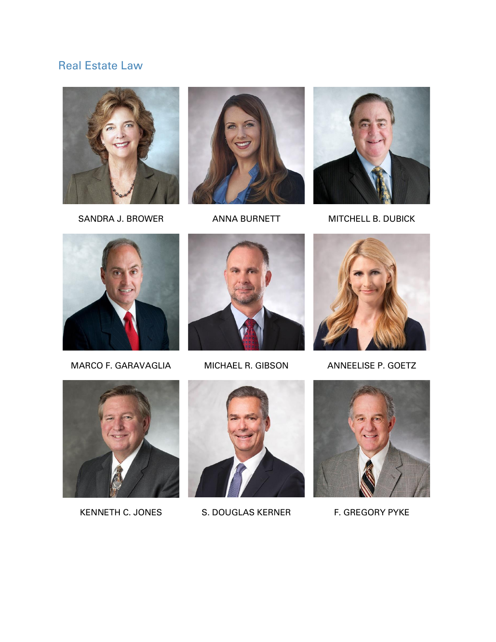# Real Estate Law







SANDRA J. BROWER ANNA BURNETT MITCHELL B. DUBICK



MARCO F. GARAVAGLIA MICHAEL R. GIBSON ANNEELISE P. GOETZ









KENNETH C. JONES S. DOUGLAS KERNER F. GREGORY PYKE